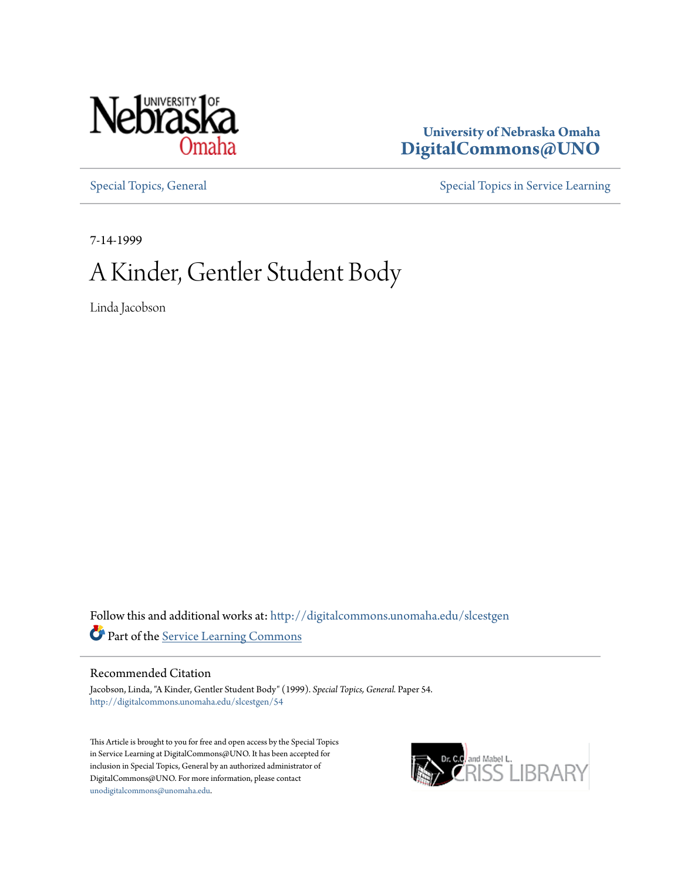

### **University of Nebraska Omaha [DigitalCommons@UNO](http://digitalcommons.unomaha.edu?utm_source=digitalcommons.unomaha.edu%2Fslcestgen%2F54&utm_medium=PDF&utm_campaign=PDFCoverPages)**

[Special Topics, General](http://digitalcommons.unomaha.edu/slcestgen?utm_source=digitalcommons.unomaha.edu%2Fslcestgen%2F54&utm_medium=PDF&utm_campaign=PDFCoverPages) [Special Topics in Service Learning](http://digitalcommons.unomaha.edu/slcespecialtopics?utm_source=digitalcommons.unomaha.edu%2Fslcestgen%2F54&utm_medium=PDF&utm_campaign=PDFCoverPages)

7-14-1999

## A Kinder, Gentler Student Body

Linda Jacobson

Follow this and additional works at: [http://digitalcommons.unomaha.edu/slcestgen](http://digitalcommons.unomaha.edu/slcestgen?utm_source=digitalcommons.unomaha.edu%2Fslcestgen%2F54&utm_medium=PDF&utm_campaign=PDFCoverPages) Part of the [Service Learning Commons](http://network.bepress.com/hgg/discipline/1024?utm_source=digitalcommons.unomaha.edu%2Fslcestgen%2F54&utm_medium=PDF&utm_campaign=PDFCoverPages)

#### Recommended Citation

Jacobson, Linda, "A Kinder, Gentler Student Body" (1999). *Special Topics, General.* Paper 54. [http://digitalcommons.unomaha.edu/slcestgen/54](http://digitalcommons.unomaha.edu/slcestgen/54?utm_source=digitalcommons.unomaha.edu%2Fslcestgen%2F54&utm_medium=PDF&utm_campaign=PDFCoverPages)

This Article is brought to you for free and open access by the Special Topics in Service Learning at DigitalCommons@UNO. It has been accepted for inclusion in Special Topics, General by an authorized administrator of DigitalCommons@UNO. For more information, please contact [unodigitalcommons@unomaha.edu](mailto:unodigitalcommons@unomaha.edu).

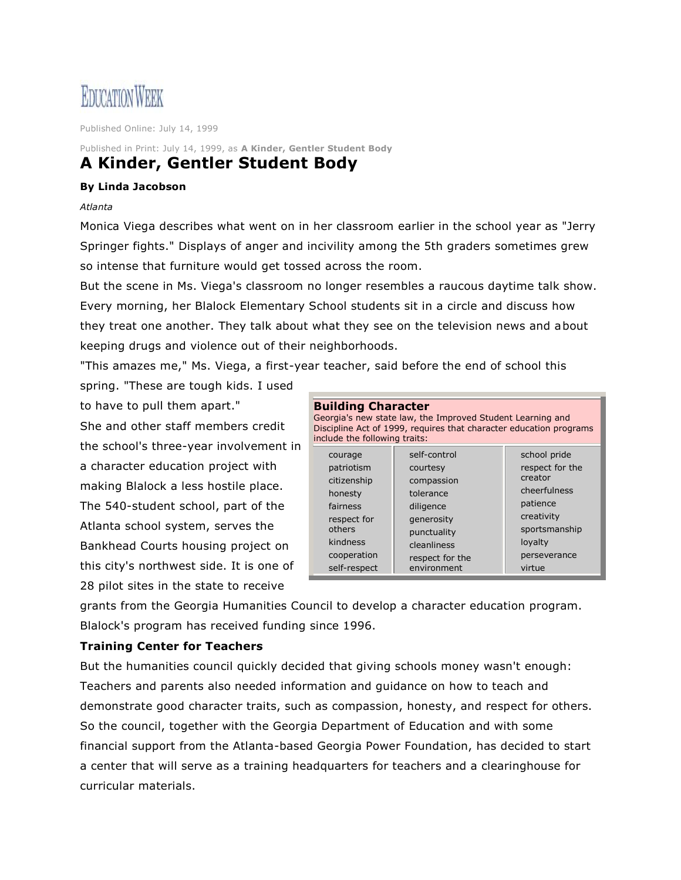# **EDUCATION WEEK**

Published Online: July 14, 1999

Published in Print: July 14, 1999, as **A Kinder, Gentler Student Body**

## **A Kinder, Gentler Student Body**

#### **By Linda Jacobson**

#### *Atlanta*

Monica Viega describes what went on in her classroom earlier in the school year as "Jerry Springer fights." Displays of anger and incivility among the 5th graders sometimes grew so intense that furniture would get tossed across the room.

But the scene in Ms. Viega's classroom no longer resembles a raucous daytime talk show. Every morning, her Blalock Elementary School students sit in a circle and discuss how they treat one another. They talk about what they see on the television news and about keeping drugs and violence out of their neighborhoods.

"This amazes me," Ms. Viega, a first-year teacher, said before the end of school this

spring. "These are tough kids. I used

to have to pull them apart." She and other staff members credit the school's three-year involvement in a character education project with making Blalock a less hostile place. The 540-student school, part of the Atlanta school system, serves the Bankhead Courts housing project on this city's northwest side. It is one of 28 pilot sites in the state to receive

| <b>Building Character</b><br>Georgia's new state law, the Improved Student Learning and<br>Discipline Act of 1999, requires that character education programs<br>include the following traits: |                 |                 |
|------------------------------------------------------------------------------------------------------------------------------------------------------------------------------------------------|-----------------|-----------------|
| courage                                                                                                                                                                                        | self-control    | school pride    |
| patriotism                                                                                                                                                                                     | courtesy        | respect for the |
| citizenship                                                                                                                                                                                    | compassion      | creator         |
| honesty                                                                                                                                                                                        | tolerance       | cheerfulness    |
| fairness                                                                                                                                                                                       | diligence       | patience        |
| respect for                                                                                                                                                                                    | generosity      | creativity      |
| others                                                                                                                                                                                         | punctuality     | sportsmanship   |
| kindness                                                                                                                                                                                       | cleanliness     | loyalty         |
| cooperation                                                                                                                                                                                    | respect for the | perseverance    |
| self-respect                                                                                                                                                                                   | environment     | virtue          |

grants from the Georgia Humanities Council to develop a character education program. Blalock's program has received funding since 1996.

#### **Training Center for Teachers**

But the humanities council quickly decided that giving schools money wasn't enough: Teachers and parents also needed information and guidance on how to teach and demonstrate good character traits, such as compassion, honesty, and respect for others. So the council, together with the Georgia Department of Education and with some financial support from the Atlanta-based Georgia Power Foundation, has decided to start a center that will serve as a training headquarters for teachers and a clearinghouse for curricular materials.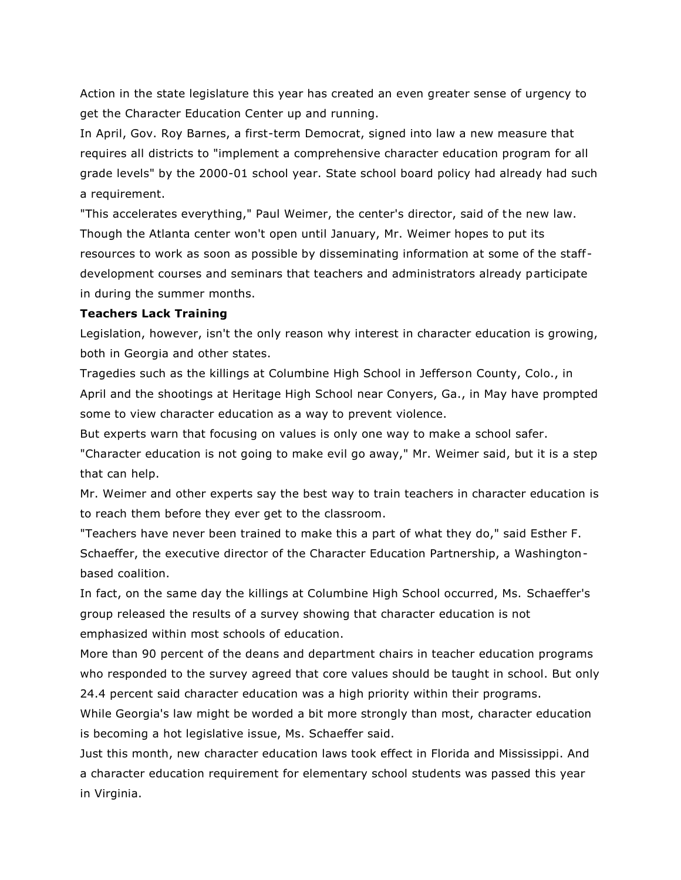Action in the state legislature this year has created an even greater sense of urgency to get the Character Education Center up and running.

In April, Gov. Roy Barnes, a first-term Democrat, signed into law a new measure that requires all districts to "implement a comprehensive character education program for all grade levels" by the 2000-01 school year. State school board policy had already had such a requirement.

"This accelerates everything," Paul Weimer, the center's director, said of the new law. Though the Atlanta center won't open until January, Mr. Weimer hopes to put its resources to work as soon as possible by disseminating information at some of the staffdevelopment courses and seminars that teachers and administrators already participate in during the summer months.

#### **Teachers Lack Training**

Legislation, however, isn't the only reason why interest in character education is growing, both in Georgia and other states.

Tragedies such as the killings at Columbine High School in Jefferson County, Colo., in April and the shootings at Heritage High School near Conyers, Ga., in May have prompted some to view character education as a way to prevent violence.

But experts warn that focusing on values is only one way to make a school safer.

"Character education is not going to make evil go away," Mr. Weimer said, but it is a step that can help.

Mr. Weimer and other experts say the best way to train teachers in character education is to reach them before they ever get to the classroom.

"Teachers have never been trained to make this a part of what they do," said Esther F. Schaeffer, the executive director of the Character Education Partnership, a Washingtonbased coalition.

In fact, on the same day the killings at Columbine High School occurred, Ms. Schaeffer's group released the results of a survey showing that character education is not emphasized within most schools of education.

More than 90 percent of the deans and department chairs in teacher education programs who responded to the survey agreed that core values should be taught in school. But only 24.4 percent said character education was a high priority within their programs.

While Georgia's law might be worded a bit more strongly than most, character education is becoming a hot legislative issue, Ms. Schaeffer said.

Just this month, new character education laws took effect in Florida and Mississippi. And a character education requirement for elementary school students was passed this year in Virginia.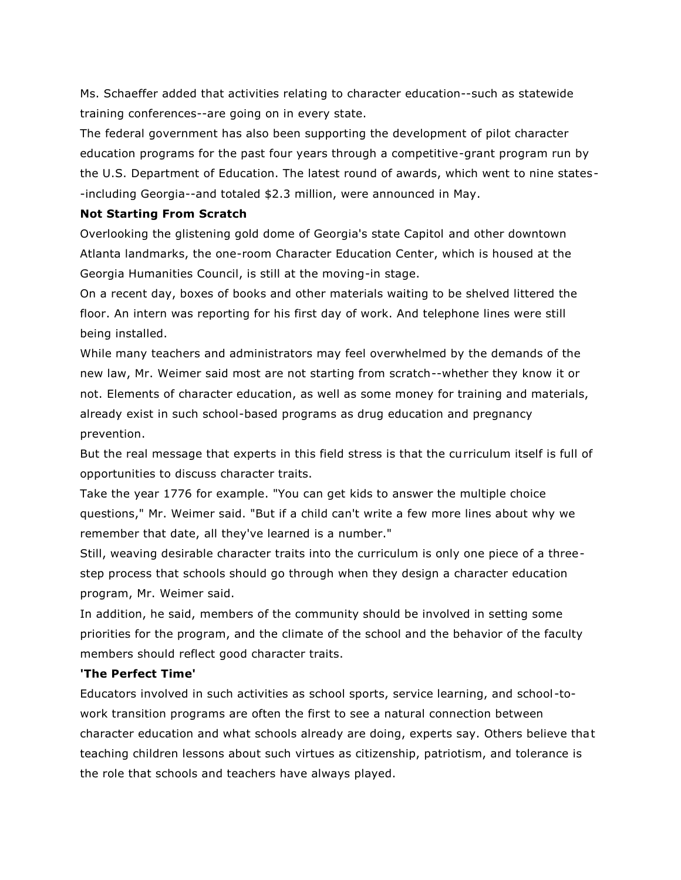Ms. Schaeffer added that activities relating to character education--such as statewide training conferences--are going on in every state.

The federal government has also been supporting the development of pilot character education programs for the past four years through a competitive-grant program run by the U.S. Department of Education. The latest round of awards, which went to nine states- -including Georgia--and totaled \$2.3 million, were announced in May.

#### **Not Starting From Scratch**

Overlooking the glistening gold dome of Georgia's state Capitol and other downtown Atlanta landmarks, the one-room Character Education Center, which is housed at the Georgia Humanities Council, is still at the moving-in stage.

On a recent day, boxes of books and other materials waiting to be shelved littered the floor. An intern was reporting for his first day of work. And telephone lines were still being installed.

While many teachers and administrators may feel overwhelmed by the demands of the new law, Mr. Weimer said most are not starting from scratch--whether they know it or not. Elements of character education, as well as some money for training and materials, already exist in such school-based programs as drug education and pregnancy prevention.

But the real message that experts in this field stress is that the curriculum itself is full of opportunities to discuss character traits.

Take the year 1776 for example. "You can get kids to answer the multiple choice questions," Mr. Weimer said. "But if a child can't write a few more lines about why we remember that date, all they've learned is a number."

Still, weaving desirable character traits into the curriculum is only one piece of a threestep process that schools should go through when they design a character education program, Mr. Weimer said.

In addition, he said, members of the community should be involved in setting some priorities for the program, and the climate of the school and the behavior of the faculty members should reflect good character traits.

#### **'The Perfect Time'**

Educators involved in such activities as school sports, service learning, and school -towork transition programs are often the first to see a natural connection between character education and what schools already are doing, experts say. Others believe that teaching children lessons about such virtues as citizenship, patriotism, and tolerance is the role that schools and teachers have always played.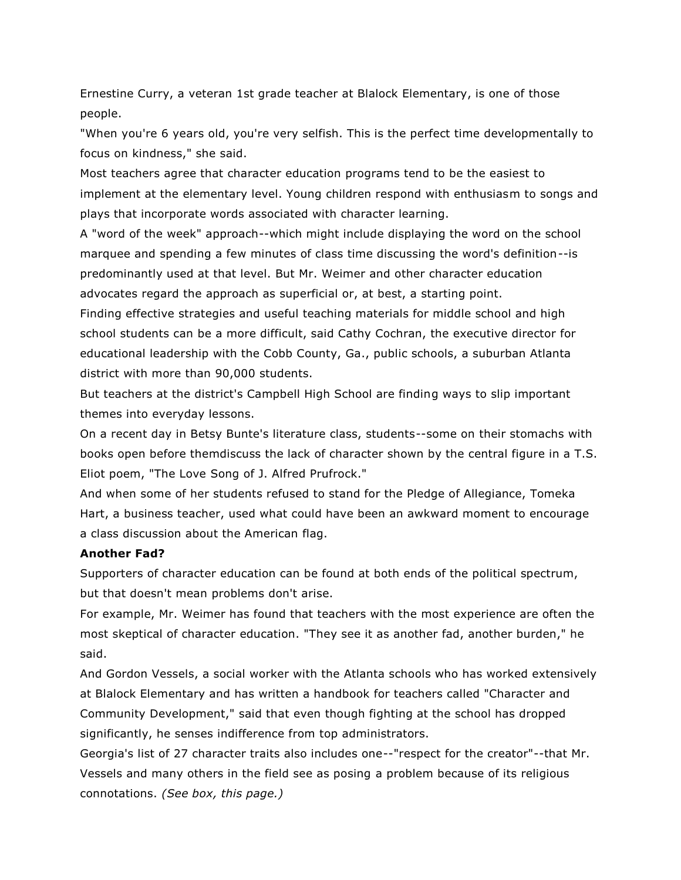Ernestine Curry, a veteran 1st grade teacher at Blalock Elementary, is one of those people.

"When you're 6 years old, you're very selfish. This is the perfect time developmentally to focus on kindness," she said.

Most teachers agree that character education programs tend to be the easiest to implement at the elementary level. Young children respond with enthusiasm to songs and plays that incorporate words associated with character learning.

A "word of the week" approach--which might include displaying the word on the school marquee and spending a few minutes of class time discussing the word's definition--is predominantly used at that level. But Mr. Weimer and other character education advocates regard the approach as superficial or, at best, a starting point.

Finding effective strategies and useful teaching materials for middle school and high school students can be a more difficult, said Cathy Cochran, the executive director for educational leadership with the Cobb County, Ga., public schools, a suburban Atlanta district with more than 90,000 students.

But teachers at the district's Campbell High School are finding ways to slip important themes into everyday lessons.

On a recent day in Betsy Bunte's literature class, students--some on their stomachs with books open before themdiscuss the lack of character shown by the central figure in a T.S. Eliot poem, "The Love Song of J. Alfred Prufrock."

And when some of her students refused to stand for the Pledge of Allegiance, Tomeka Hart, a business teacher, used what could have been an awkward moment to encourage a class discussion about the American flag.

#### **Another Fad?**

Supporters of character education can be found at both ends of the political spectrum, but that doesn't mean problems don't arise.

For example, Mr. Weimer has found that teachers with the most experience are often the most skeptical of character education. "They see it as another fad, another burden," he said.

And Gordon Vessels, a social worker with the Atlanta schools who has worked extensively at Blalock Elementary and has written a handbook for teachers called "Character and Community Development," said that even though fighting at the school has dropped significantly, he senses indifference from top administrators.

Georgia's list of 27 character traits also includes one--"respect for the creator"--that Mr. Vessels and many others in the field see as posing a problem because of its religious connotations. *(See box, this page.)*